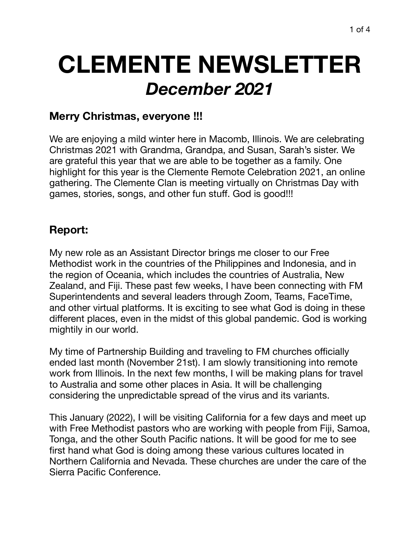# **CLEMENTE NEWSLETTER**  *December 2021*

## **Merry Christmas, everyone !!!**

We are enjoying a mild winter here in Macomb, Illinois. We are celebrating Christmas 2021 with Grandma, Grandpa, and Susan, Sarah's sister. We are grateful this year that we are able to be together as a family. One highlight for this year is the Clemente Remote Celebration 2021, an online gathering. The Clemente Clan is meeting virtually on Christmas Day with games, stories, songs, and other fun stuff. God is good!!!

## **Report:**

My new role as an Assistant Director brings me closer to our Free Methodist work in the countries of the Philippines and Indonesia, and in the region of Oceania, which includes the countries of Australia, New Zealand, and Fiji. These past few weeks, I have been connecting with FM Superintendents and several leaders through Zoom, Teams, FaceTime, and other virtual platforms. It is exciting to see what God is doing in these different places, even in the midst of this global pandemic. God is working mightily in our world.

My time of Partnership Building and traveling to FM churches officially ended last month (November 21st). I am slowly transitioning into remote work from Illinois. In the next few months, I will be making plans for travel to Australia and some other places in Asia. It will be challenging considering the unpredictable spread of the virus and its variants.

This January (2022), I will be visiting California for a few days and meet up with Free Methodist pastors who are working with people from Fiji, Samoa, Tonga, and the other South Pacific nations. It will be good for me to see first hand what God is doing among these various cultures located in Northern California and Nevada. These churches are under the care of the Sierra Pacific Conference.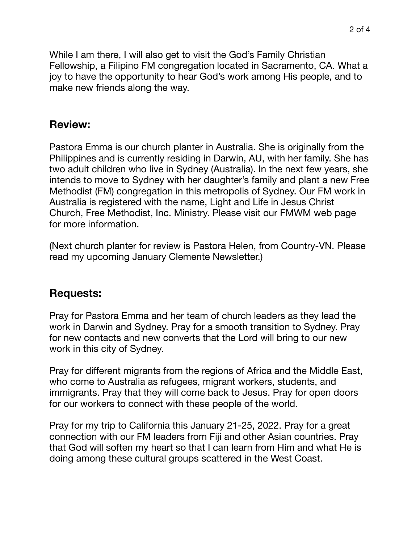2 of 4

While I am there, I will also get to visit the God's Family Christian Fellowship, a Filipino FM congregation located in Sacramento, CA. What a joy to have the opportunity to hear God's work among His people, and to make new friends along the way.

#### **Review:**

Pastora Emma is our church planter in Australia. She is originally from the Philippines and is currently residing in Darwin, AU, with her family. She has two adult children who live in Sydney (Australia). In the next few years, she intends to move to Sydney with her daughter's family and plant a new Free Methodist (FM) congregation in this metropolis of Sydney. Our FM work in Australia is registered with the name, Light and Life in Jesus Christ Church, Free Methodist, Inc. Ministry. Please visit our FMWM web page for more information.

(Next church planter for review is Pastora Helen, from Country-VN. Please read my upcoming January Clemente Newsletter.)

#### **Requests:**

Pray for Pastora Emma and her team of church leaders as they lead the work in Darwin and Sydney. Pray for a smooth transition to Sydney. Pray for new contacts and new converts that the Lord will bring to our new work in this city of Sydney.

Pray for different migrants from the regions of Africa and the Middle East, who come to Australia as refugees, migrant workers, students, and immigrants. Pray that they will come back to Jesus. Pray for open doors for our workers to connect with these people of the world.

Pray for my trip to California this January 21-25, 2022. Pray for a great connection with our FM leaders from Fiji and other Asian countries. Pray that God will soften my heart so that I can learn from Him and what He is doing among these cultural groups scattered in the West Coast.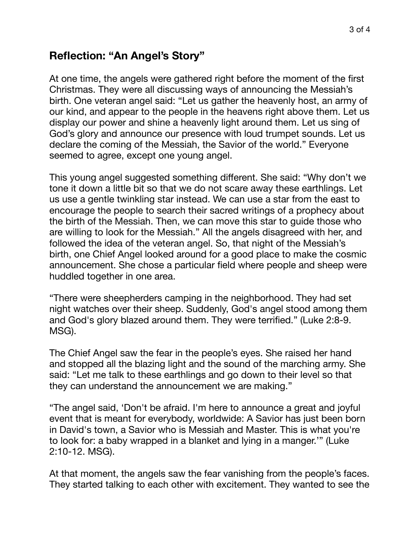### **Reflection: "An Angel's Story"**

At one time, the angels were gathered right before the moment of the first Christmas. They were all discussing ways of announcing the Messiah's birth. One veteran angel said: "Let us gather the heavenly host, an army of our kind, and appear to the people in the heavens right above them. Let us display our power and shine a heavenly light around them. Let us sing of God's glory and announce our presence with loud trumpet sounds. Let us declare the coming of the Messiah, the Savior of the world." Everyone seemed to agree, except one young angel.

This young angel suggested something different. She said: "Why don't we tone it down a little bit so that we do not scare away these earthlings. Let us use a gentle twinkling star instead. We can use a star from the east to encourage the people to search their sacred writings of a prophecy about the birth of the Messiah. Then, we can move this star to guide those who are willing to look for the Messiah." All the angels disagreed with her, and followed the idea of the veteran angel. So, that night of the Messiah's birth, one Chief Angel looked around for a good place to make the cosmic announcement. She chose a particular field where people and sheep were huddled together in one area.

"There were sheepherders camping in the neighborhood. They had set night watches over their sheep. Suddenly, God's angel stood among them and God's glory blazed around them. They were terrified." (Luke 2:8-9. MSG).

The Chief Angel saw the fear in the people's eyes. She raised her hand and stopped all the blazing light and the sound of the marching army. She said: "Let me talk to these earthlings and go down to their level so that they can understand the announcement we are making."

"The angel said, 'Don't be afraid. I'm here to announce a great and joyful event that is meant for everybody, worldwide: A Savior has just been born in David's town, a Savior who is Messiah and Master. This is what you're to look for: a baby wrapped in a blanket and lying in a manger.'" (Luke 2:10-12. MSG).

At that moment, the angels saw the fear vanishing from the people's faces. They started talking to each other with excitement. They wanted to see the